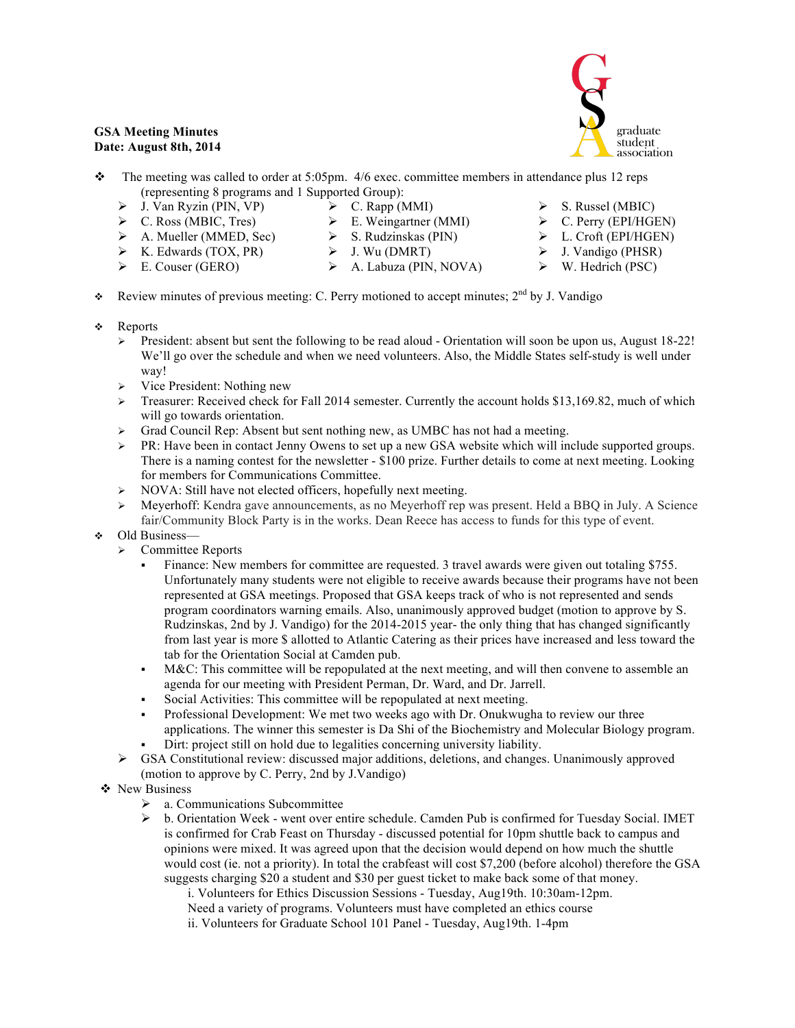## **GSA Meeting Minutes Date: August 8th, 2014**



- $\bullet$  The meeting was called to order at 5:05pm. 4/6 exec. committee members in attendance plus 12 reps (representing 8 programs and 1 Supported Group):
	- $\triangleright$  J. Van Ryzin (PIN, VP)  $\triangleright$  C. Rapp (MMI)  $\triangleright$  E. Weingartner (MMI)
	- $\triangleright$  C. Ross (MBIC, Tres)
	- $\triangleright$  A. Mueller (MMED, Sec)  $\triangleright$  K. Edwards (TOX, PR)
- $\triangleright$  S. Rudzinskas (PIN)
- $\triangleright$  J. Wu (DMRT)
- $\triangleright$  E. Couser (GERO)
- 
- A. Labuza (PIN, NOVA)
- $\triangleright$  S. Russel (MBIC)
- $\triangleright$  C. Perry (EPI/HGEN)
- L. Croft (EPI/HGEN)
- $\triangleright$  J. Vandigo (PHSR)
- $\triangleright$  W. Hedrich (PSC)
- Review minutes of previous meeting: C. Perry motioned to accept minutes;  $2<sup>nd</sup>$  by J. Vandigo
- ❖ Reports
	- President: absent but sent the following to be read aloud Orientation will soon be upon us, August 18-22! We'll go over the schedule and when we need volunteers. Also, the Middle States self-study is well under way!
	- $\triangleright$  Vice President: Nothing new
	- $\triangleright$  Treasurer: Received check for Fall 2014 semester. Currently the account holds \$13,169.82, much of which will go towards orientation.
	- Grad Council Rep: Absent but sent nothing new, as UMBC has not had a meeting.
	- $\triangleright$  PR: Have been in contact Jenny Owens to set up a new GSA website which will include supported groups. There is a naming contest for the newsletter - \$100 prize. Further details to come at next meeting. Looking for members for Communications Committee.
	- $\triangleright$  NOVA: Still have not elected officers, hopefully next meeting.
	- Meyerhoff: Kendra gave announcements, as no Meyerhoff rep was present. Held a BBQ in July. A Science fair/Community Block Party is in the works. Dean Reece has access to funds for this type of event.
- Old Business—
	- $\triangleright$  Committee Reports
		- Finance: New members for committee are requested. 3 travel awards were given out totaling \$755. Unfortunately many students were not eligible to receive awards because their programs have not been represented at GSA meetings. Proposed that GSA keeps track of who is not represented and sends program coordinators warning emails. Also, unanimously approved budget (motion to approve by S. Rudzinskas, 2nd by J. Vandigo) for the 2014-2015 year- the only thing that has changed significantly from last year is more \$ allotted to Atlantic Catering as their prices have increased and less toward the tab for the Orientation Social at Camden pub.
		- M&C: This committee will be repopulated at the next meeting, and will then convene to assemble an agenda for our meeting with President Perman, Dr. Ward, and Dr. Jarrell.
		- Social Activities: This committee will be repopulated at next meeting.
		- Professional Development: We met two weeks ago with Dr. Onukwugha to review our three applications. The winner this semester is Da Shi of the Biochemistry and Molecular Biology program.
		- Dirt: project still on hold due to legalities concerning university liability.
	- $\triangleright$  GSA Constitutional review: discussed major additions, deletions, and changes. Unanimously approved (motion to approve by C. Perry, 2nd by J.Vandigo)
- ❖ New Business
	- a. Communications Subcommittee
	- $\triangleright$  b. Orientation Week went over entire schedule. Camden Pub is confirmed for Tuesday Social. IMET is confirmed for Crab Feast on Thursday - discussed potential for 10pm shuttle back to campus and opinions were mixed. It was agreed upon that the decision would depend on how much the shuttle would cost (ie. not a priority). In total the crabfeast will cost \$7,200 (before alcohol) therefore the GSA suggests charging \$20 a student and \$30 per guest ticket to make back some of that money.
		- i. Volunteers for Ethics Discussion Sessions Tuesday, Aug19th. 10:30am-12pm. Need a variety of programs. Volunteers must have completed an ethics course
		- ii. Volunteers for Graduate School 101 Panel Tuesday, Aug19th. 1-4pm